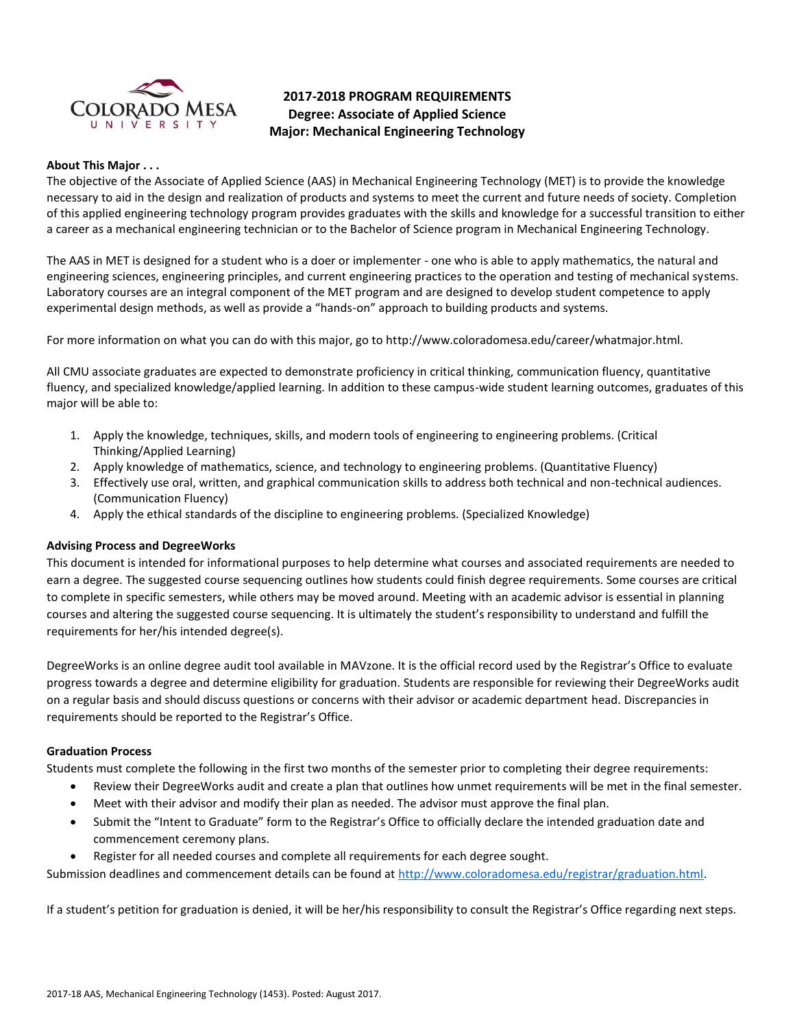

# **2017-2018 PROGRAM REQUIREMENTS Degree: Associate of Applied Science Major: Mechanical Engineering Technology**

#### **About This Major . . .**

The objective of the Associate of Applied Science (AAS) in Mechanical Engineering Technology (MET) is to provide the knowledge necessary to aid in the design and realization of products and systems to meet the current and future needs of society. Completion of this applied engineering technology program provides graduates with the skills and knowledge for a successful transition to either a career as a mechanical engineering technician or to the Bachelor of Science program in Mechanical Engineering Technology.

The AAS in MET is designed for a student who is a doer or implementer - one who is able to apply mathematics, the natural and engineering sciences, engineering principles, and current engineering practices to the operation and testing of mechanical systems. Laboratory courses are an integral component of the MET program and are designed to develop student competence to apply experimental design methods, as well as provide a "hands-on" approach to building products and systems.

For more information on what you can do with this major, go to http://www.coloradomesa.edu/career/whatmajor.html.

All CMU associate graduates are expected to demonstrate proficiency in critical thinking, communication fluency, quantitative fluency, and specialized knowledge/applied learning. In addition to these campus-wide student learning outcomes, graduates of this major will be able to:

- 1. Apply the knowledge, techniques, skills, and modern tools of engineering to engineering problems. (Critical Thinking/Applied Learning)
- 2. Apply knowledge of mathematics, science, and technology to engineering problems. (Quantitative Fluency)
- 3. Effectively use oral, written, and graphical communication skills to address both technical and non-technical audiences. (Communication Fluency)
- 4. Apply the ethical standards of the discipline to engineering problems. (Specialized Knowledge)

### **Advising Process and DegreeWorks**

This document is intended for informational purposes to help determine what courses and associated requirements are needed to earn a degree. The suggested course sequencing outlines how students could finish degree requirements. Some courses are critical to complete in specific semesters, while others may be moved around. Meeting with an academic advisor is essential in planning courses and altering the suggested course sequencing. It is ultimately the student's responsibility to understand and fulfill the requirements for her/his intended degree(s).

DegreeWorks is an online degree audit tool available in MAVzone. It is the official record used by the Registrar's Office to evaluate progress towards a degree and determine eligibility for graduation. Students are responsible for reviewing their DegreeWorks audit on a regular basis and should discuss questions or concerns with their advisor or academic department head. Discrepancies in requirements should be reported to the Registrar's Office.

#### **Graduation Process**

Students must complete the following in the first two months of the semester prior to completing their degree requirements:

- Review their DegreeWorks audit and create a plan that outlines how unmet requirements will be met in the final semester.
- Meet with their advisor and modify their plan as needed. The advisor must approve the final plan.
- Submit the "Intent to Graduate" form to the Registrar's Office to officially declare the intended graduation date and commencement ceremony plans.
- Register for all needed courses and complete all requirements for each degree sought.

Submission deadlines and commencement details can be found at [http://www.coloradomesa.edu/registrar/graduation.html.](http://www.coloradomesa.edu/registrar/graduation.html)

If a student's petition for graduation is denied, it will be her/his responsibility to consult the Registrar's Office regarding next steps.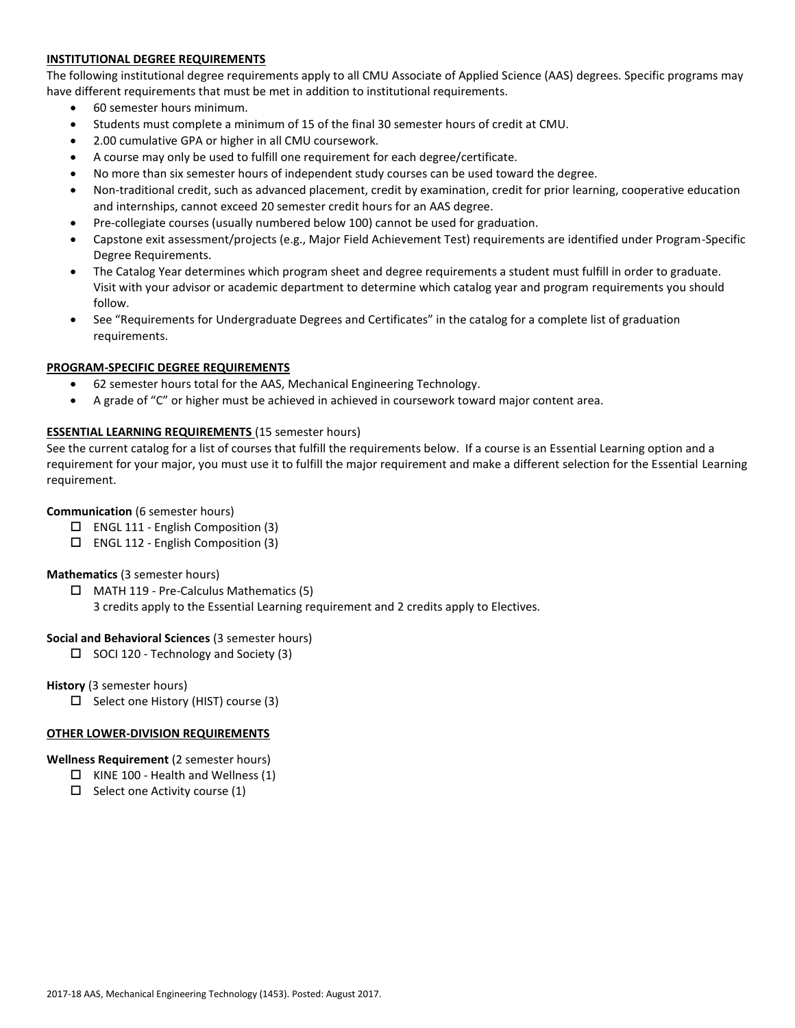### **INSTITUTIONAL DEGREE REQUIREMENTS**

The following institutional degree requirements apply to all CMU Associate of Applied Science (AAS) degrees. Specific programs may have different requirements that must be met in addition to institutional requirements.

- 60 semester hours minimum.
- Students must complete a minimum of 15 of the final 30 semester hours of credit at CMU.
- 2.00 cumulative GPA or higher in all CMU coursework.
- A course may only be used to fulfill one requirement for each degree/certificate.
- No more than six semester hours of independent study courses can be used toward the degree.
- Non-traditional credit, such as advanced placement, credit by examination, credit for prior learning, cooperative education and internships, cannot exceed 20 semester credit hours for an AAS degree.
- Pre-collegiate courses (usually numbered below 100) cannot be used for graduation.
- Capstone exit assessment/projects (e.g., Major Field Achievement Test) requirements are identified under Program-Specific Degree Requirements.
- The Catalog Year determines which program sheet and degree requirements a student must fulfill in order to graduate. Visit with your advisor or academic department to determine which catalog year and program requirements you should follow.
- See "Requirements for Undergraduate Degrees and Certificates" in the catalog for a complete list of graduation requirements.

### **PROGRAM-SPECIFIC DEGREE REQUIREMENTS**

- 62 semester hours total for the AAS, Mechanical Engineering Technology.
- A grade of "C" or higher must be achieved in achieved in coursework toward major content area.

### **ESSENTIAL LEARNING REQUIREMENTS** (15 semester hours)

See the current catalog for a list of courses that fulfill the requirements below. If a course is an Essential Learning option and a requirement for your major, you must use it to fulfill the major requirement and make a different selection for the Essential Learning requirement.

### **Communication** (6 semester hours)

- $\Box$  ENGL 111 English Composition (3)
- ENGL 112 English Composition (3)

#### **Mathematics** (3 semester hours)

- $\Box$  MATH 119 Pre-Calculus Mathematics (5)
	- 3 credits apply to the Essential Learning requirement and 2 credits apply to Electives.

#### **Social and Behavioral Sciences** (3 semester hours)

 $\Box$  SOCI 120 - Technology and Society (3)

**History** (3 semester hours)

 $\Box$  Select one History (HIST) course (3)

### **OTHER LOWER-DIVISION REQUIREMENTS**

#### **Wellness Requirement** (2 semester hours)

- $\Box$  KINE 100 Health and Wellness (1)
- $\Box$  Select one Activity course (1)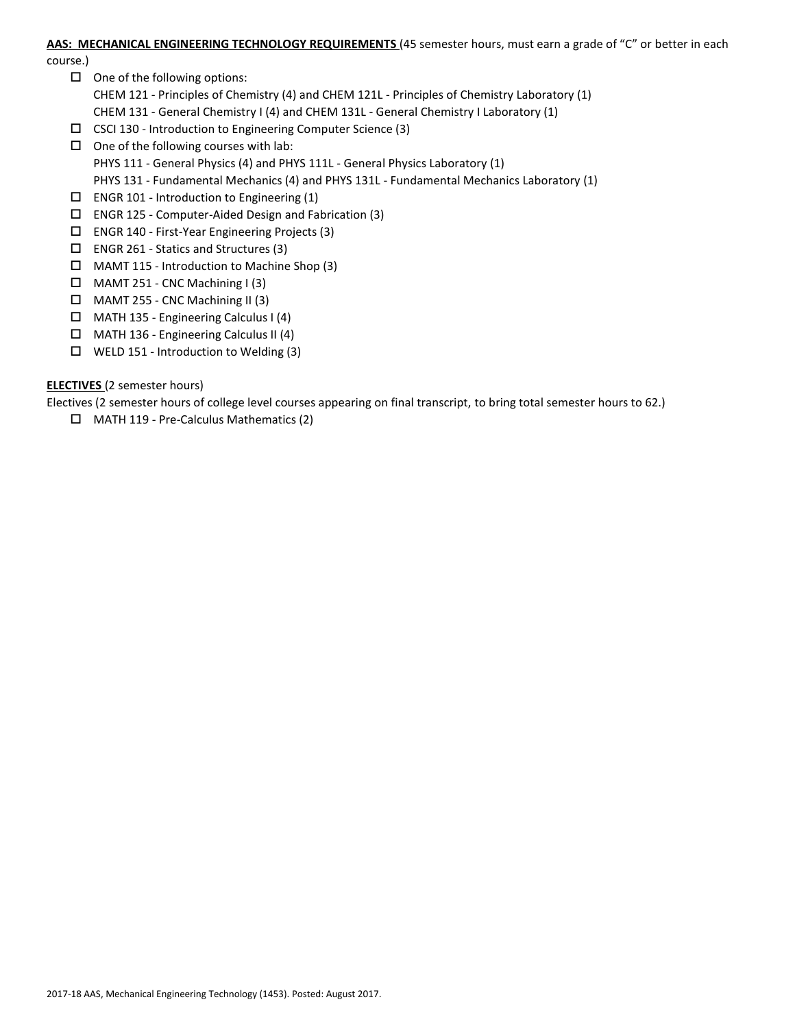#### **AAS: MECHANICAL ENGINEERING TECHNOLOGY REQUIREMENTS** (45 semester hours, must earn a grade of "C" or better in each

course.)

- $\Box$  One of the following options: CHEM 121 - Principles of Chemistry (4) and CHEM 121L - Principles of Chemistry Laboratory (1) CHEM 131 - General Chemistry I (4) and CHEM 131L - General Chemistry I Laboratory (1)
- CSCI 130 Introduction to Engineering Computer Science (3)
- $\Box$  One of the following courses with lab: PHYS 111 - General Physics (4) and PHYS 111L - General Physics Laboratory (1) PHYS 131 - Fundamental Mechanics (4) and PHYS 131L - Fundamental Mechanics Laboratory (1)
- $\square$  ENGR 101 Introduction to Engineering (1)
- $\square$  ENGR 125 Computer-Aided Design and Fabrication (3)
- ENGR 140 First-Year Engineering Projects (3)
- $\square$  ENGR 261 Statics and Structures (3)
- $\Box$  MAMT 115 Introduction to Machine Shop (3)
- $\Box$  MAMT 251 CNC Machining I (3)
- $\Box$  MAMT 255 CNC Machining II (3)
- MATH 135 Engineering Calculus I (4)
- MATH 136 Engineering Calculus II (4)
- WELD 151 Introduction to Welding (3)

# **ELECTIVES** (2 semester hours)

Electives (2 semester hours of college level courses appearing on final transcript, to bring total semester hours to 62.)

MATH 119 - Pre-Calculus Mathematics (2)